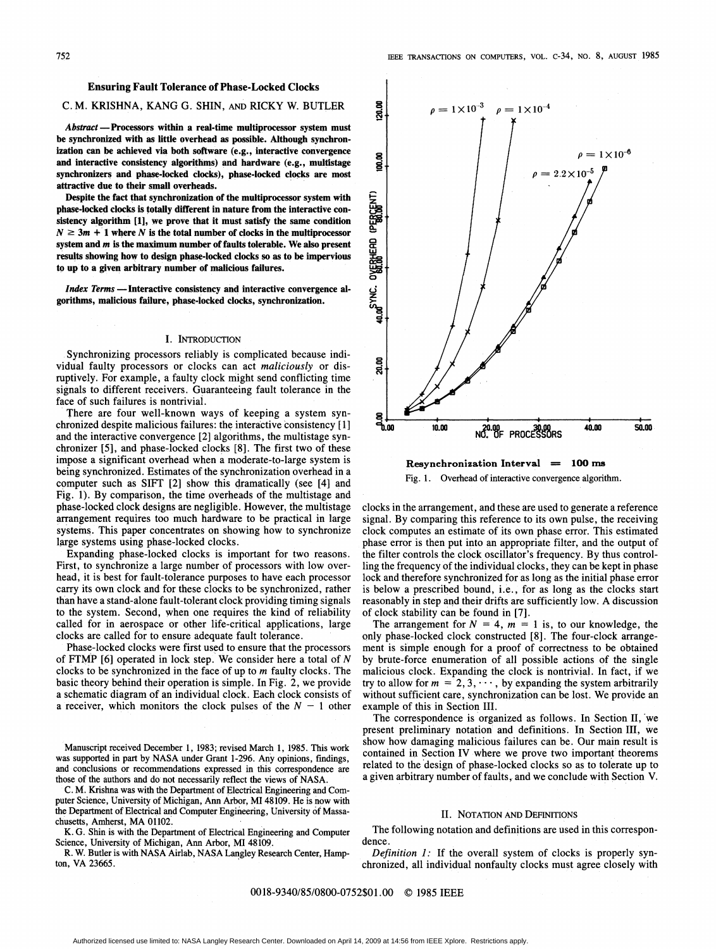# Ensuring Fault Tolerance of Phase-Locked Clocks

# C. M. KRISHNA, KANG G. SHIN, AND RICKY W. BUTLER

Abstract - Processors within a real-time multiprocessor system must be synchronized with as little overhead as possible. Although synchronization can be achieved via both software (e.g., interactive convergence and interactive consistency algorithms) and hardware (e.g., multistage synchronizers and phase-locked clocks), phase-locked clocks are most attractive due to their small overheads.

Despite the fact that synchronization of the multiprocessor system with phase-locked clocks is totally different in nature from the interactive consistency algorithm [1], we prove that it must satisfy the same condition  $N \geq 3m + 1$  where N is the total number of clocks in the multiprocessor system and m is the maximum number of faults tolerable. We also present results showing how to design phase-locked clocks so as to be impervious to up to a given arbitrary number of malicious failures.

Index Terms - Interactive consistency and interactive convergence algorithms, malicious failure, phase-locked clocks, synchronization.

# I. INTRODUCTION

Synchronizing processors reliably is complicated because individual faulty processors or clocks can act maliciously or disruptively. For example, a faulty clock might send conflicting time signals to different receivers. Guaranteeing fault tolerance in the face of such failures is nontrivial.

There are four well-known ways of keeping <sup>a</sup> system synchronized despite malicious failures: the interactive consistency [1] and the interactive convergence [2] algorithms, the multistage synchronizer [5], and phase-locked clocks [8]. The first two of these impose a significant overhead when a moderate-to-large system is being synchronized. Estimates of the synchronization overhead in a computer such as SIFT [2] show this dramatically (see [4] and Fig. 1). By comparison, the time overheads of the multistage and phase-locked clock designs are negligible. However, the multistage arrangement requires too much hardware to be practical in large systems. This paper concentrates on showing how to synchronize large systems using phase-locked clocks.

Expanding phase-locked clocks is important for two reasons. First, to synchronize <sup>a</sup> large number of processors with low overhead, it is best for fault-tolerance purposes to have each processor carry its own clock and for these clocks to be synchronized, rather than have a stand-alone fault-tolerant clock providing timing signals to the systen. Second, when one requires the kind of reliability called for in aerospace or other life-critical applications, large clocks are called for to ensure adequate fault tolerance.

Phase-locked clocks were first used to ensure that the processors of FTMP  $[6]$  operated in lock step. We consider here a total of N clocks to be synchronized in the face of up to  $m$  faulty clocks. The basic theory behind their operation is simple. In Fig. 2, we provide a schematic diagram of an individual clock. Each clock consists of a receiver, which monitors the clock pulses of the  $N - 1$  other

Manuscript received December 1, 1983; revised March 1, 1985. This work was supported in part by NASA under Grant 1-296. Any opinions, findings, and conclusions or recommendations expressed in this correspondence are those of the authors and do not necessarily reflect the views of NASA.

C. M. Krishna was with the Department of Electrical Engineering and Computer Science, University of Michigan, Ann Arbor, MI 48109. He is now with the Department of Electrical and Computer Engineering, University of Massachusetts, Amherst, MA 01102.

K. G. Shin is with the Department of Electrical Engineering and Computer Science, University of Michigan, Ann Arbor, MI 48109.

R. W. Butler is with NASA Airlab, NASA Langley Research Center, Hampton, VA 23665.



Resynchronization Interval  $= 100$  ms Fig. 1. Overhead of interactive convergence algorithm.

clocks in the arrangement, and these are used to generate a reference signal. By comparing this reference to its own pulse, the receiving clock computes an estimate of its own phase error. This estimated phase error is then put into an appropriate filter, and the output of the filter controls the clock oscillator's frequency. By thus controlling the frequency of the individual clocks, they can be kept in phase lock and therefore synchronized for as long as the initial phase error is below a prescribed bound, i.e., for as long as the clocks start reasonably in Step and their drifts are sufficiently low. A discussion of clock stability can be found in [7].

The arrangement for  $N = 4$ ,  $m = 1$  is, to our knowledge, the only phase-locked clock constructed [8]. The four-clock arrangement is simple enough for a proof of correctness to be obtained by brute-force enumeration of all possible actions of the single malicious clock. Expanding the clock is nontrivial. In fact, if we try to allow for  $m = 2, 3, \dots$ , by expanding the system arbitrarily without sufficient care, synchronization can be lost. We provide an example of this in Section III.

The correspondence is organized as follows. In Section II, we present preliminary notation' and definitions. In Section III, we show how damaging malicious failures can be. Our main result is contained in Section IV where we prove two important theorems related to the design of phase-locked clocks so as to tolerate up to a given arbitrary number of faults, and we conclude with Section V.

## II. NOTATION AND DEFINITIONS

The following notation and definitions are used in this correspondence.

Definition 1: If the overall system of clocks is properly synchronized, all individual nonfaulty clocks must agree closely with

# 0018-9340/85/0800-0752\$01.00 © <sup>1985</sup> IEEE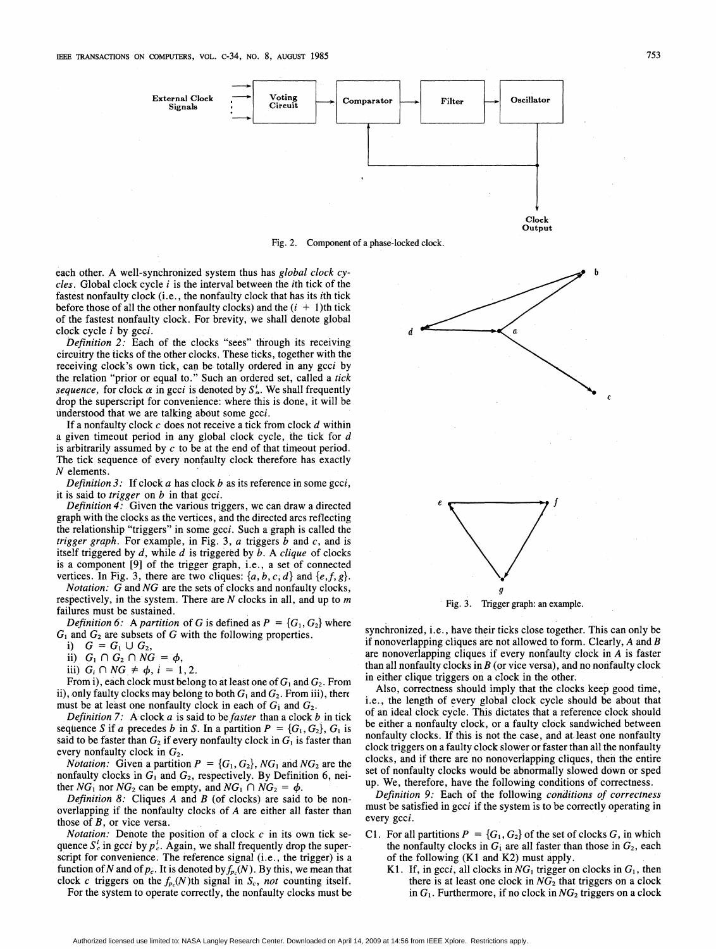

Fig. 2. Component of a phase-locked clock.

each other. A well-synchronized system thus has global clock cycles. Global clock cycle  $i$  is the interval between the *i*th tick of the fastest nonfaulty clock (i.e., the nonfaulty clock that has its ith tick before those of all the other nonfaulty clocks) and the  $(i + 1)$ th tick of the fastest nonfaulty clock. For brevity, we shall denote global clock cycle <sup>i</sup> by gcci.

Definition 2: Each of the clocks "sees" through its receiving circuitry the ticks of the other clocks. These ticks, together with the receiving clock's own tick, can be totally ordered in any gcci by the relation "prior or equal to." Such an ordered set, called a tick sequence, for clock  $\alpha$  in gcci is denoted by  $S^i_{\alpha}$ . We shall frequently drop the superscript for convenience: where this is done, it will be understood that we are talking about some gcci.

If a nonfaulty clock  $c$  does not receive a tick from clock  $d$  within a given timeout period in any global clock cycle, the tick for d is arbitrarily assumed by  $c$  to be at the end of that timeout period. The tick sequence of every nonfaulty clock therefore has exactly N elements.

Definition  $3$ : If clock a has clock b as its reference in some gcci, it is said to trigger on  $b$  in that gcci.

Definition 4: Given the various triggers, we can draw <sup>a</sup> directed graph with the clocks as the vertices, and the directed arcs reflecting the relationship "triggers" in some gcci. Such a graph is called the *trigger graph.* For example, in Fig. 3,  $\alpha$  triggers  $\beta$  and  $\alpha$ , and is itself triggered by  $d$ , while  $d$  is triggered by  $b$ . A *clique* of clocks is a component [9] of the trigger graph, i.e., a set of connected vertices. In Fig. 3, there are two cliques:  $\{a, b, c, d\}$  and  $\{e, f, g\}$ .

Notation: G and NG are the sets of clocks and nonfaulty clocks, respectively, in the system. There are  $N$  clocks in all, and up to  $m$ failures must be sustained.

*Definition 6:* A *partition* of G is defined as  $P = \{G_1, G_2\}$  where  $G_1$  and  $G_2$  are subsets of G with the following properties.

i)  $G = G_1 \cup G_2$ ,

ii)  $G_1 \cap G_2 \cap NG = \phi$ ,

iii)  $G_i \cap NG \neq \phi$ ,  $i = 1,2$ .

From i), each clock must belong to at least one of  $G_1$  and  $G_2$ . From ii), only faulty clocks may belong to both  $G_1$  and  $G_2$ . From iii), there must be at least one nonfaulty clock in each of  $G_1$  and  $G_2$ .

Definition 7: A clock  $a$  is said to be faster than a clock  $b$  in tick sequence S if a precedes b in S. In a partition  $P = \{G_1, G_2\}$ ,  $G_1$  is said to be faster than  $G_2$  if every nonfaulty clock in  $G_1$  is faster than every nonfaulty clock in  $G_2$ .

*Notation:* Given a partition  $P = \{G_1, G_2\}$ , NG<sub>1</sub> and NG<sub>2</sub> are the nonfaulty clocks in  $G_1$  and  $G_2$ , respectively. By Definition 6, neither  $NG_1$  nor  $NG_2$  can be empty, and  $NG_1 \cap NG_2 = \phi$ .

Definition 8: Cliques  $A$  and  $B$  (of clocks) are said to be nonoverlapping if the nonfaulty clocks of A are either all faster than those of  $B$ , or vice versa.

*Notation:* Denote the position of a clock  $c$  in its own tick sequence  $S_c^i$  in gcci by  $p_c^i$ . Again, we shall frequently drop the superscript for convenience. The reference signal (i.e., the trigger) is a function of N and of  $p_c$ . It is denoted by  $f_{p_c}(N)$ . By this, we mean that clock c triggers on the  $f_{p_c}(N)$ th signal in  $S_c$ , not counting itself.

For the system to operate correctly, the nonfaulty clocks must be



Fig. 3. Trigger graph: an example.

synchronized, i.e., have their ticks close together. This can only be if nonoverlapping cliques are not allowed to form. Clearly, A and B are nonoverlapping cliques if every nonfaulty clock in A is faster than all nonfaulty clocks in  $B$  (or vice versa), and no nonfaulty clock in either clique triggers on a clock in the other.

Also, correctness should imply that the clocks keep good time, i.e., the length of every global clock cycle should be about that of an ideal clock cycle. This dictates that a reference clock should be either a nonfaulty clock, or a faulty clock sandwiched between nonfaulty clocks. If this is not the case, and at least one nonfaulty clock triggers on a faulty clock slower or faster than all the nonfaulty clocks, and if there are no nonoverlapping cliques, then the entire set of nonfaulty clocks would be abnormally slowed down or sped up. We, therefore, have the following conditions of correctness.

Definition 9: Each of the following conditions of correctness must be satisfied in gcci if the system is to be correctly operating in every gcci.

- C1. For all partitions  $P = \{G_1, G_2\}$  of the set of clocks G, in which the nonfaulty clocks in  $G_i$  are all faster than those in  $G_2$ , each of the following (K1 and K2) must apply.
	- K1. If, in gcci, all clocks in  $NG_1$  trigger on clocks in  $G_1$ , then there is at least one clock in  $NG_2$  that triggers on a clock in  $G_1$ . Furthermore, if no clock in  $NG_2$  triggers on a clock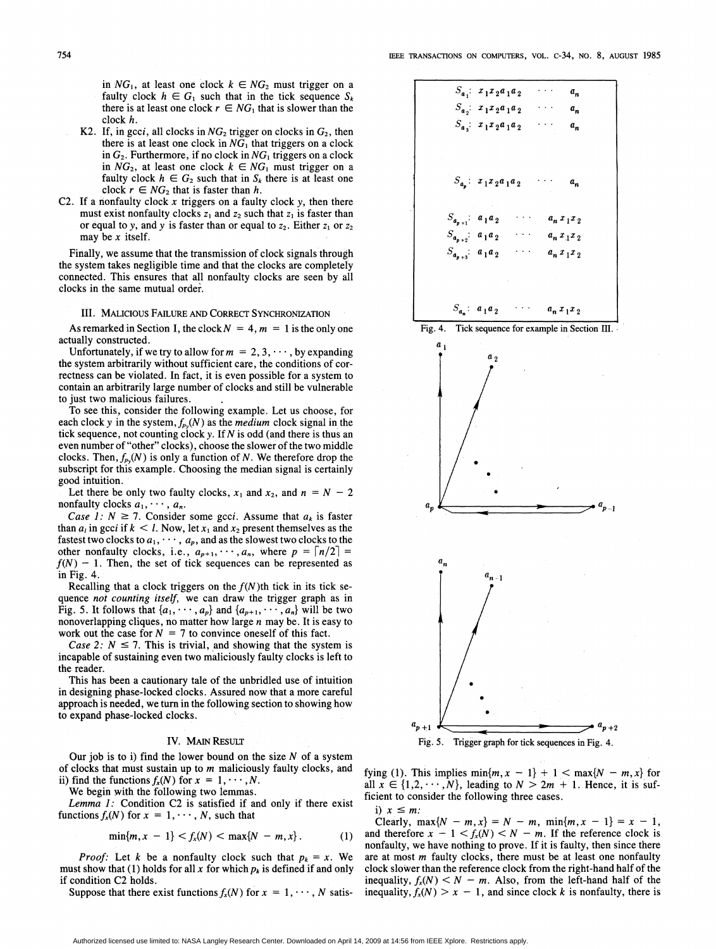in  $NG_1$ , at least one clock  $k \in NG_2$  must trigger on a faulty clock  $h \in G_1$  such that in the tick sequence  $S_k$ there is at least one clock  $r \in NG_1$  that is slower than the clock h.

- K2. If, in gcci, all clocks in  $NG_2$  trigger on clocks in  $G_2$ , then there is at least one clock in  $NG<sub>1</sub>$  that triggers on a clock in  $G_2$ . Furthermore, if no clock in  $NG_1$  triggers on a clock in  $NG_2$ , at least one clock  $k \in NG_1$  must trigger on a faulty clock  $h \in G_2$  such that in  $S_k$  there is at least one clock  $r \in NG_2$  that is faster than h.
- C2. If a nonfaulty clock  $x$  triggers on a faulty clock  $y$ , then there must exist nonfaulty clocks  $z_1$  and  $z_2$  such that  $z_1$  is faster than or equal to y, and y is faster than or equal to  $z_2$ . Either  $z_1$  or  $z_2$ may be  $x$  itself.

Finally, we assume that the transmission of clock signals through the system takes negligible time and that the clocks are completely connected. This ensures that all nonfaulty clocks are seen by all clocks in the same mutual order.

#### III. MALICIOUS FAILURE AND CORRECT SYNCHRONIZATION

As remarked in Section I, the clock  $N = 4$ ,  $m = 1$  is the only one actually constructed.

Unfortunately, if we try to allow for  $m = 2, 3, \dots$ , by expanding the system arbitrarily without sufficient care, the conditions of correctness can be violated. In fact, it is even possible for a system to contain an arbitrarily large number of clocks and still be vulnerable to just two malicious failures.

To see this, consider the following example. Let us choose, for each clock y in the system,  $f_{\nu}(N)$  as the *medium* clock signal in the tick sequence, not counting clock y. If  $N$  is odd (and there is thus an even number of "other" clocks), choose the slower of the two middle clocks. Then,  $f_{p_0}(N)$  is only a function of N. We therefore drop the subscript for this example. Choosing the median signal is certainly good intuition.

Let there be only two faulty clocks,  $x_1$  and  $x_2$ , and  $n = N - 2$ nonfaulty clocks  $a_1, \dots, a_n$ .

*Case 1:*  $N \ge 7$ . Consider some gcci. Assume that  $a_k$  is faster than  $a_i$  in gcci if  $k < l$ . Now, let  $x_1$  and  $x_2$  present themselves as the fastest two clocks to  $a_1, \dots, a_p$ , and as the slowest two clocks to the other nonfaulty clocks, i.e.,  $a_{p+1}$ ,  $\cdots$ ,  $a_n$ , where  $p = \lceil n/2 \rceil$  $f(N) - 1$ . Then, the set of tick sequences can be represented as in Fig. 4.

Recalling that a clock triggers on the  $f(N)$ th tick in its tick sequence not counting itself, we can draw the trigger graph as in Fig. 5. It follows that  $\{a_1, \dots, a_p\}$  and  $\{a_{p+1}, \dots, a_n\}$  will be two nonoverlapping cliques, no matter how large  $n$  may be. It is easy to work out the case for  $N = 7$  to convince oneself of this fact.

Case 2:  $N \le 7$ . This is trivial, and showing that the system is incapable of sustaining even two maliciously faulty clocks is left to the reader.

This has been a cautionary tale of the unbridled use of intuition in designing phase-locked clocks. Assured now that a more careful approach is needed, we turn in the following section to showing how to expand phase-locked clocks.

### IV. MAIN RESULT

Our job is to i) find the lower bound on the size  $N$  of a system of clocks that must sustain up to  $m$  maliciously faulty clocks, and ii) find the functions  $f_x(N)$  for  $x = 1, \dots, N$ .

We begin with the following two lemmas.

Lemma 1: Condition C2 is satisfied if and only if there exist functions  $f_x(N)$  for  $x = 1, \dots, N$ , such that

$$
\min\{m, x-1\} < f_x(N) < \max\{N-m, x\} \,. \tag{1}
$$

*Proof:* Let k be a nonfaulty clock such that  $p_k = x$ . We must show that (1) holds for all x for which  $p_k$  is defined if and only if condition C2 holds.

Suppose that there exist functions  $f_x(N)$  for  $x = 1, \dots, N$  satis-







Fig. 5. Trigger graph for tick sequences in Fig. 4.

fying (1). This implies  $\min\{m, x - 1\} + 1 < \max\{N - m, x\}$  for all  $x \in \{1, 2, \cdots, N\}$ , leading to  $N > 2m + 1$ . Hence, it is sufficient to consider the following three cases.

i)  $x \leq m$ :

Clearly,  $\max\{N - m, x\} = N - m$ ,  $\min\{m, x - 1\} = x - 1$ , and therefore  $x - 1 < f_x(N) < N - m$ . If the reference clock is nonfaulty, we have nothing to prove. If it is faulty, then since there are at most m faulty clocks, there must be at least one nonfaulty clock slower than the reference clock from the right-hand half of the inequality,  $f_x(N) < N - m$ . Also, from the left-hand half of the inequality,  $f_x(N) > x - 1$ , and since clock k is nonfaulty, there is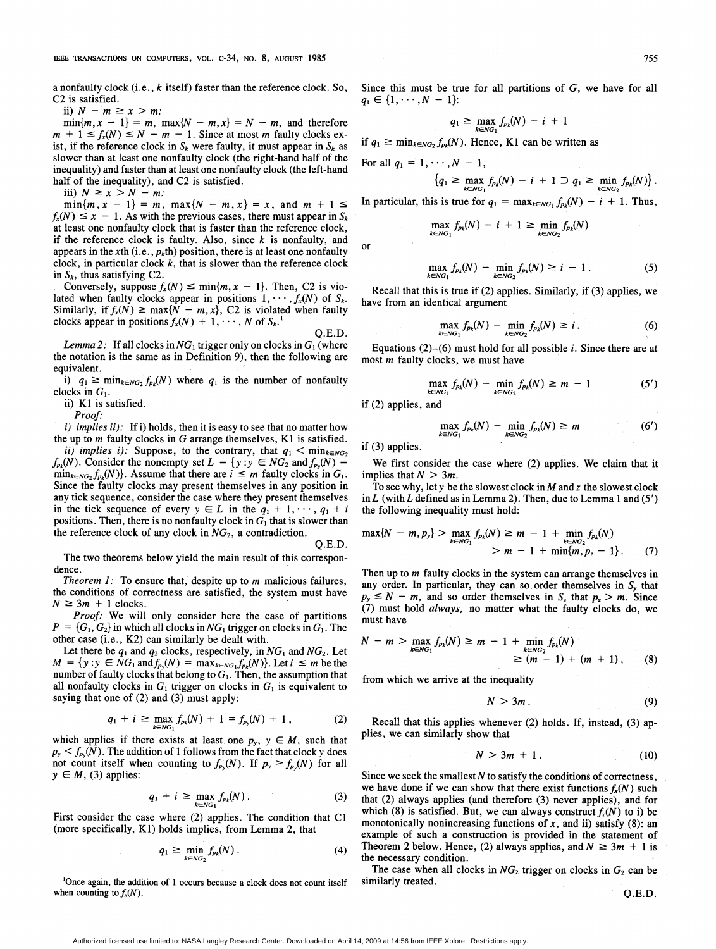a nonfaulty clock  $(i.e., k$  itself) faster than the reference clock. So, C2 is satisfied.

ii)  $N - m \geq x > m$ :

 $min{m, x - 1} = m$ ,  $max{N - m, x} = N - m$ , and therefore  $m + 1 \le f_x(N) \le N - m - 1$ . Since at most m faulty clocks exist, if the reference clock in  $S_k$  were faulty, it must appear in  $S_k$  as slower than at least one nonfaulty clock (the right-hand half of the inequality) and faster than at least one nonfaulty clock (the left-h half of the inequality), and C2 is satisfied.

iii)  $N \ge x > N - m$ :

 $\min\{m, x - 1\} = m$ ,  $\max\{N - m, x\} = x$ , and  $m + 1 \le$  $f_x(N) \le x - 1$ . As with the previous cases, there must appear in  $S_k$ at least one nonfaulty clock that is faster than the reference clock, if the reference clock is faulty. Also, since  $k$  is nonfaulty, and appears in the xth (i.e.,  $p_k$ th) position, there is at least one nonfaulty clock, in particular clock  $k$ , that is slower than the reference clock in  $S_k$ , thus satisfying C2.

Conversely, suppose  $f_x(N) \leq \min\{m, x - 1\}$ . Then, C2 is violated when faulty clocks appear in positions  $1, \dots, f_x(N)$  of  $S_k$ . Similarly, if  $f_x(N) \ge \max\{N-m, x\}$ , C2 is violated when faulty clocks appear in positions  $f_x(N) + 1, \dots, N$  of  $S_k$ .

Q.E

Lemma 2: If all clocks in  $NG_1$  trigger only on clocks in  $G_1$  (where the notation is the same as in Definition 9), then the following equivalent.

i)  $q_1 \ge \min_{k \in N G_2} f_{p_k}(N)$  where  $q_1$  is the number of nonfaulty clocks in  $G_1$ .

ii) K1 is satisfied.

Proof:

 $i)$  implies ii): If i) holds, then it is easy to see that no matter how the up to  $m$  faulty clocks in  $G$  arrange themselves,  $K1$  is satisfied.

ii) implies i): Suppose, to the contrary, that  $q_1 < \min_{k \in N G_2}$  $f_{p_k}(N)$ . Consider the nonempty set  $L = \{y : y \in NG_2 \text{ and } f_{p_y}(N)\}$  $\min_{k \in N G_2} f_{p_k}(N)$ . Assume that there are  $i \leq m$  faulty clocks in Since the faulty clocks may present themselves in any position in any tick sequence, consider the case where they present themselves in the tick sequence of every  $y \in L$  in the  $q_1 + 1, \dots, q_1 + i$ positions. Then, there is no nonfaulty clock in  $G_1$  that is slower than the reference clock of any clock in  $NG_2$ , a contradiction.

Q.E

The two theorems below yield the main result of this correspondence.

Theorem  $1$ : To ensure that, despite up to  $m$  malicious failures, the conditions of correctness are satisfied, the system must have  $N \geq 3m + 1$  clocks.

Proof: We will only consider here the case of partitions  $P = \{G_1, G_2\}$  in which all clocks in  $NG_1$  trigger on clocks in  $G_1$ . The other case (i.e., K2) can similarly be dealt with.

Let there be  $q_1$  and  $q_2$  clocks, respectively, in  $NG_1$  and  $NG_2$ . Let  $M = \{y : y \in \overline{NG}_1 \text{ and } f_{p_v}(N) = \max_{k \in NG_1} f_{p_k}(N)\}.$  Let  $i \leq m$  be the number of faulty clocks that belong to  $G_1$ . Then, the assumption that all nonfaulty clocks in  $G_1$  trigger on clocks in  $G_1$  is equivalent to saying that one of (2) and (3) must apply:

$$
q_1 + i \ge \max_{k \in N G_1} f_{p_k}(N) + 1 = f_{p_y}(N) + 1, \qquad (2)
$$

which applies if there exists at least one  $p_y$ ,  $y \in M$ , such that  $p_y \le f_{p_y}(N)$ . The addition of 1 follows from the fact that clock y does not count itself when counting to  $f_{p_y}(N)$ . If  $p_y \ge f_{p_y}(N)$  for all  $y \in M$ , (3) applies:

$$
q_1 + i \ge \max_{k \in N G_1} f_{p_k}(N) \,. \tag{3}
$$

First consider the case where (2) applies. The condition that C1 (more specifically, KI) holds implies, from Lemma 2, that

$$
q_1 \geq \min_{k \in N G_2} f_{p_k}(N) \tag{4}
$$

<sup>1</sup>Once again, the addition of 1 occurs because a clock does not count itself when counting to  $f_x(N)$ .

Since this must be true for all partitions of G, we have for all  $q_1 \in \{1, \cdots, N-1\}$ :

$$
q_1 \geq \max_{k \in N G_1} f_{p_k}(N) - i + 1
$$

if  $q_1 \ge \min_{k \in NG_2} f_{p_k}(N)$ . Hence, K1 can be written as

For all  $q_1 = 1, \dots, N - 1$ ,

$$
\left\{q_1\geq \max_{k\in NC_1}f_{p_k}(N)-i+1\supset q_1\geq \min_{k\in NC_2}f_{p_k}(N)\right\}.
$$

In particular, this is true for  $q_1 = \max_{k \in N} f_{p_k}(N) - i + 1$ . Thus,

$$
\max_{k \in N G_1} f_{p_k}(N) - i + 1 \geq \min_{k \in N G_2} f_{p_k}(N)
$$

or

$$
\max_{k \in N G_1} f_{p_k}(N) - \min_{k \in N G_2} f_{p_k}(N) \geq i - 1.
$$
 (5)

Recall that this is true if (2) applies. Similarly, if (3) applies, we have from an identical argument

$$
\max_{k \in N G_1} f_{p_k}(N) - \min_{k \in N G_2} f_{p_k}(N) \geq i. \tag{6}
$$

Equations  $(2)$ - $(6)$  must hold for all possible *i*. Since there are at most m faulty clocks, we must have

$$
\max_{k \in N G_1} f_{p_k}(N) - \min_{k \in N G_2} f_{p_k}(N) \ge m - 1 \tag{5'}
$$

if (2) applies, and

$$
\max_{k \in N G_1} f_{p_k}(N) - \min_{k \in N G_2} f_{p_k}(N) \ge m \tag{6'}
$$

if (3) applies.

We first consider the case where (2) applies. We claim that it implies that  $N > 3m$ .

To see why, let y be the slowest clock in  $M$  and  $z$  the slowest clock in  $L$  (with  $L$  defined as in Lemma 2). Then, due to Lemma 1 and  $(5')$ the following inequality must hold:

$$
\max\{N - m, p_y\} > \max_{k \in NG_1} f_{p_k}(N) \ge m - 1 + \min_{k \in NG_2} f_{p_k}(N) > m - 1 + \min\{m, p_z - 1\}.
$$
 (7)

Then up to *m* faulty clocks in the system can arrange themselves in any order. In particular, they can so order themselves in  $S<sub>v</sub>$  that  $p_y \le N - m$ , and so order themselves in  $S_z$  that  $p_z > m$ . Since (7) must hold always, no matter what the faulty clocks do, we must have

$$
N - m > \max_{k \in N G_1} f_{p_k}(N) \ge m - 1 + \min_{\substack{k \in N G_2 \\ \ge (m - 1) + (m + 1),}} f_{p_k}(N) \ge m - 1 + \min_{\substack{k \in N G_2 \\ \ge (m - 1) + (m + 1),}} (8)
$$

from which we arrive at the inequality

$$
N>3m.
$$
 (9)

 $(2)$  Recall that this applies whenever (2) holds. If, instead, (3) applies, we can similarly show that

$$
N > 3m + 1. \tag{10}
$$

Since we seek the smallest  $N$  to satisfy the conditions of correctness, we have done if we can show that there exist functions  $f_x(N)$  such that  $(2)$  always applies (and therefore  $(3)$  never applies), and for which (8) is satisfied. But, we can always construct  $f_x(N)$  to i) be monotonically nonincreasing functions of  $x$ , and ii) satisfy (8): an example of such a construction is provided in the statement of Theorem 2 below. Hence, (2) always applies, and  $N \ge 3m + 1$  is the necessary condition.

The case when all clocks in  $NG_2$  trigger on clocks in  $G_2$  can be similarly treated.

Q.E.D.